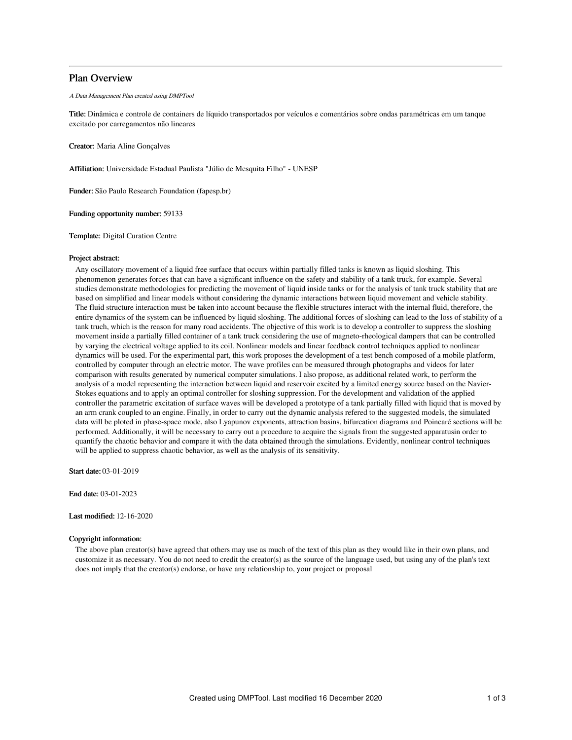# Plan Overview

#### A Data Management Plan created using DMPTool

Title: Dinâmica e controle de containers de líquido transportados por veículos e comentários sobre ondas paramétricas em um tanque excitado por carregamentos não lineares

Creator: Maria Aline Gonçalves

Affiliation: Universidade Estadual Paulista "Júlio de Mesquita Filho" - UNESP

Funder: São Paulo Research Foundation (fapesp.br)

Funding opportunity number: 59133

Template: Digital Curation Centre

### Project abstract:

Any oscillatory movement of a liquid free surface that occurs within partially filled tanks is known as liquid sloshing. This phenomenon generates forces that can have a significant influence on the safety and stability of a tank truck, for example. Several studies demonstrate methodologies for predicting the movement of liquid inside tanks or for the analysis of tank truck stability that are based on simplified and linear models without considering the dynamic interactions between liquid movement and vehicle stability. The fluid structure interaction must be taken into account because the flexible structures interact with the internal fluid, therefore, the entire dynamics of the system can be influenced by liquid sloshing. The additional forces of sloshing can lead to the loss of stability of a tank truch, which is the reason for many road accidents. The objective of this work is to develop a controller to suppress the sloshing movement inside a partially filled container of a tank truck considering the use of magneto-rheological dampers that can be controlled by varying the electrical voltage applied to its coil. Nonlinear models and linear feedback control techniques applied to nonlinear dynamics will be used. For the experimental part, this work proposes the development of a test bench composed of a mobile platform, controlled by computer through an electric motor. The wave profiles can be measured through photographs and videos for later comparison with results generated by numerical computer simulations. I also propose, as additional related work, to perform the analysis of a model representing the interaction between liquid and reservoir excited by a limited energy source based on the Navier-Stokes equations and to apply an optimal controller for sloshing suppression. For the development and validation of the applied controller the parametric excitation of surface waves will be developed a prototype of a tank partially filled with liquid that is moved by an arm crank coupled to an engine. Finally, in order to carry out the dynamic analysis refered to the suggested models, the simulated data will be ploted in phase-space mode, also Lyapunov exponents, attraction basins, bifurcation diagrams and Poincaré sections will be performed. Additionally, it will be necessary to carry out a procedure to acquire the signals from the suggested apparatusin order to quantify the chaotic behavior and compare it with the data obtained through the simulations. Evidently, nonlinear control techniques will be applied to suppress chaotic behavior, as well as the analysis of its sensitivity.

Start date: 03-01-2019

End date: 03-01-2023

Last modified: 12-16-2020

### Copyright information:

The above plan creator(s) have agreed that others may use as much of the text of this plan as they would like in their own plans, and customize it as necessary. You do not need to credit the creator(s) as the source of the language used, but using any of the plan's text does not imply that the creator(s) endorse, or have any relationship to, your project or proposal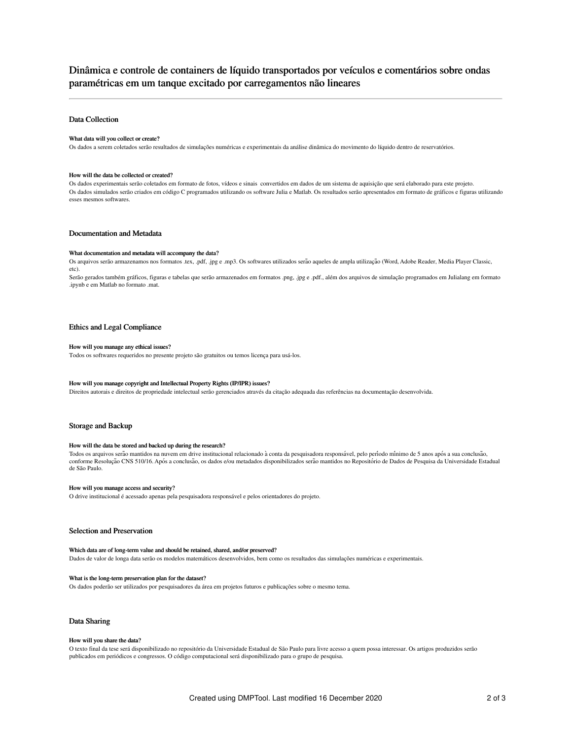# Dinâmica e controle de containers de líquido transportados por veículos e comentários sobre ondas paramétricas em um tanque excitado por carregamentos não lineares

# Data Collection

#### What data will you collect or create?

Os dados a serem coletados serão resultados de simulações numéricas e experimentais da análise dinâmica do movimento do líquido dentro de reservatórios.

#### How will the data be collected or created?

Os dados experimentais serão coletados em formato de fotos, vídeos e sinais convertidos em dados de um sistema de aquisição que será elaborado para este projeto. Os dados simulados serão criados em código C programados utilizando os software Julia e Matlab. Os resultados serão apresentados em formato de gráficos e figuras utilizando esses mesmos softwares.

# Documentation and Metadata

#### What documentation and metadata will accompany the data?

Os arquivos serão armazenamos nos formatos .tex, .pdf, .jpg e .mp3. Os softwares utilizados serão aqueles de ampla utilização (Word, Adobe Reader, Media Player Classic, etc).

Serão gerados também gráficos, figuras e tabelas que serão armazenados em formatos .png, .jpg e .pdf., além dos arquivos de simulação programados em Julialang em formato .ipynb e em Matlab no formato .mat.

### Ethics and Legal Compliance

#### How will you manage any ethical issues?

Todos os softwares requeridos no presente projeto são gratuitos ou temos licença para usá-los.

# How will you manage copyright and Intellectual Property Rights (IP/IPR) issues?

Direitos autorais e direitos de propriedade intelectual serão gerenciados através da citação adequada das referências na documentação desenvolvida.

### Storage and Backup

#### How will the data be stored and backed up during the research?

Todos os arquivos serão mantidos na nuvem em drive institucional relacionado à conta da pesquisadora responsável, pelo período mínimo de 5 anos após a sua conclusão, conforme Resolução CNS 510/16. Após a conclusão, os dados e/ou metadados disponibilizados serão mantidos no Repositório de Dados de Pesquisa da Universidade Estadual de São Paulo.

#### How will you manage access and security?

O drive institucional é acessado apenas pela pesquisadora responsável e pelos orientadores do projeto.

# Selection and Preservation

#### Which data are of long-term value and should be retained, shared, and/or preserved?

Dados de valor de longa data serão os modelos matemáticos desenvolvidos, bem como os resultados das simulações numéricas e experimentais.

#### What is the long-term preservation plan for the dataset?

Os dados poderão ser utilizados por pesquisadores da área em projetos futuros e publicações sobre o mesmo tema.

### Data Sharing

#### How will you share the data?

O texto final da tese será disponibilizado no repositório da Universidade Estadual de São Paulo para livre acesso a quem possa interessar. Os artigos produzidos serão publicados em periódicos e congressos. O código computacional será disponibilizado para o grupo de pesquisa.